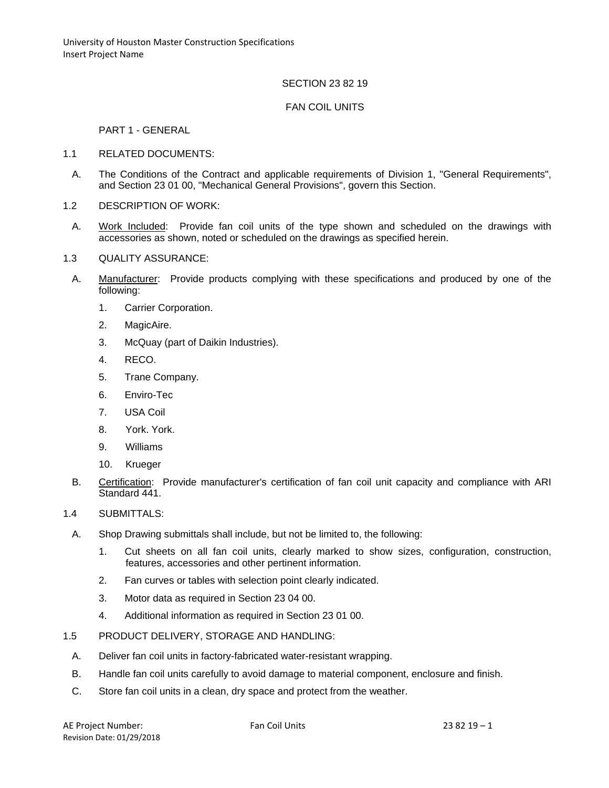# SECTION 23 82 19

## FAN COIL UNITS

#### PART 1 - GENERAL

- 1.1 RELATED DOCUMENTS:
	- A. The Conditions of the Contract and applicable requirements of Division 1, "General Requirements", and Section 23 01 00, "Mechanical General Provisions", govern this Section.
- 1.2 DESCRIPTION OF WORK:
- A. Work Included: Provide fan coil units of the type shown and scheduled on the drawings with accessories as shown, noted or scheduled on the drawings as specified herein.
- 1.3 QUALITY ASSURANCE:
	- A. Manufacturer: Provide products complying with these specifications and produced by one of the following:
		- 1. Carrier Corporation.
		- 2. MagicAire.
		- 3. McQuay (part of Daikin Industries).
		- 4. RECO.
		- 5. Trane Company.
		- 6. Enviro-Tec
		- 7. USA Coil
		- 8. York. York.
		- 9. Williams
		- 10. Krueger
	- B. Certification: Provide manufacturer's certification of fan coil unit capacity and compliance with ARI Standard 441.
- 1.4 SUBMITTALS:
	- A. Shop Drawing submittals shall include, but not be limited to, the following:
		- 1. Cut sheets on all fan coil units, clearly marked to show sizes, configuration, construction, features, accessories and other pertinent information.
		- 2. Fan curves or tables with selection point clearly indicated.
		- 3. Motor data as required in Section 23 04 00.
		- 4. Additional information as required in Section 23 01 00.
- 1.5 PRODUCT DELIVERY, STORAGE AND HANDLING:
	- A. Deliver fan coil units in factory-fabricated water-resistant wrapping.
	- B. Handle fan coil units carefully to avoid damage to material component, enclosure and finish.
	- C. Store fan coil units in a clean, dry space and protect from the weather.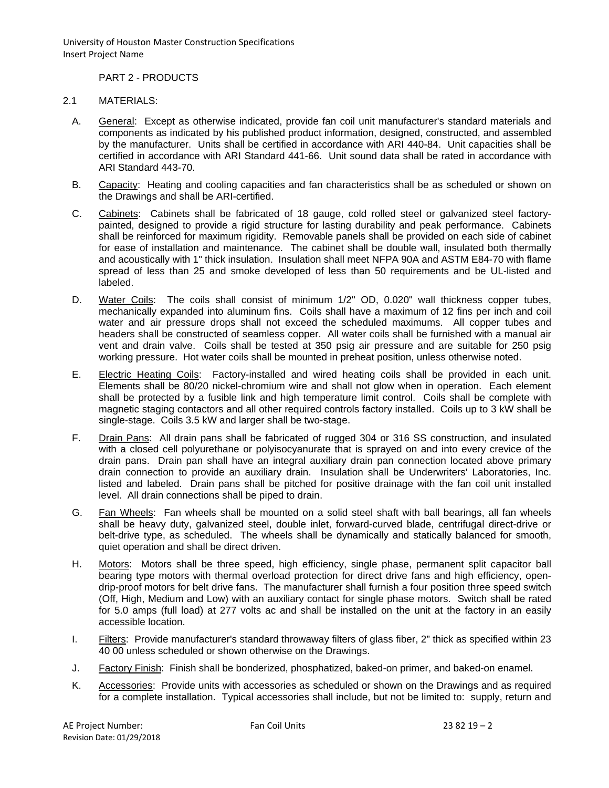University of Houston Master Construction Specifications Insert Project Name

PART 2 - PRODUCTS

# 2.1 MATERIALS:

- A. General: Except as otherwise indicated, provide fan coil unit manufacturer's standard materials and components as indicated by his published product information, designed, constructed, and assembled by the manufacturer. Units shall be certified in accordance with ARI 440-84. Unit capacities shall be certified in accordance with ARI Standard 441-66. Unit sound data shall be rated in accordance with ARI Standard 443-70.
- B. Capacity: Heating and cooling capacities and fan characteristics shall be as scheduled or shown on the Drawings and shall be ARI-certified.
- C. Cabinets: Cabinets shall be fabricated of 18 gauge, cold rolled steel or galvanized steel factorypainted, designed to provide a rigid structure for lasting durability and peak performance. Cabinets shall be reinforced for maximum rigidity. Removable panels shall be provided on each side of cabinet for ease of installation and maintenance. The cabinet shall be double wall, insulated both thermally and acoustically with 1" thick insulation. Insulation shall meet NFPA 90A and ASTM E84-70 with flame spread of less than 25 and smoke developed of less than 50 requirements and be UL-listed and labeled.
- D. Water Coils: The coils shall consist of minimum 1/2" OD, 0.020" wall thickness copper tubes, mechanically expanded into aluminum fins. Coils shall have a maximum of 12 fins per inch and coil water and air pressure drops shall not exceed the scheduled maximums. All copper tubes and headers shall be constructed of seamless copper. All water coils shall be furnished with a manual air vent and drain valve. Coils shall be tested at 350 psig air pressure and are suitable for 250 psig working pressure. Hot water coils shall be mounted in preheat position, unless otherwise noted.
- E. Electric Heating Coils: Factory-installed and wired heating coils shall be provided in each unit. Elements shall be 80/20 nickel-chromium wire and shall not glow when in operation. Each element shall be protected by a fusible link and high temperature limit control. Coils shall be complete with magnetic staging contactors and all other required controls factory installed. Coils up to 3 kW shall be single-stage. Coils 3.5 kW and larger shall be two-stage.
- F. Drain Pans: All drain pans shall be fabricated of rugged 304 or 316 SS construction, and insulated with a closed cell polyurethane or polyisocyanurate that is sprayed on and into every crevice of the drain pans. Drain pan shall have an integral auxiliary drain pan connection located above primary drain connection to provide an auxiliary drain. Insulation shall be Underwriters' Laboratories, Inc. listed and labeled. Drain pans shall be pitched for positive drainage with the fan coil unit installed level. All drain connections shall be piped to drain.
- G. Fan Wheels: Fan wheels shall be mounted on a solid steel shaft with ball bearings, all fan wheels shall be heavy duty, galvanized steel, double inlet, forward-curved blade, centrifugal direct-drive or belt-drive type, as scheduled. The wheels shall be dynamically and statically balanced for smooth, quiet operation and shall be direct driven.
- H. Motors: Motors shall be three speed, high efficiency, single phase, permanent split capacitor ball bearing type motors with thermal overload protection for direct drive fans and high efficiency, opendrip-proof motors for belt drive fans. The manufacturer shall furnish a four position three speed switch (Off, High, Medium and Low) with an auxiliary contact for single phase motors. Switch shall be rated for 5.0 amps (full load) at 277 volts ac and shall be installed on the unit at the factory in an easily accessible location.
- I. Filters: Provide manufacturer's standard throwaway filters of glass fiber, 2" thick as specified within 23 40 00 unless scheduled or shown otherwise on the Drawings.
- J. Factory Finish: Finish shall be bonderized, phosphatized, baked-on primer, and baked-on enamel.
- K. Accessories: Provide units with accessories as scheduled or shown on the Drawings and as required for a complete installation. Typical accessories shall include, but not be limited to: supply, return and